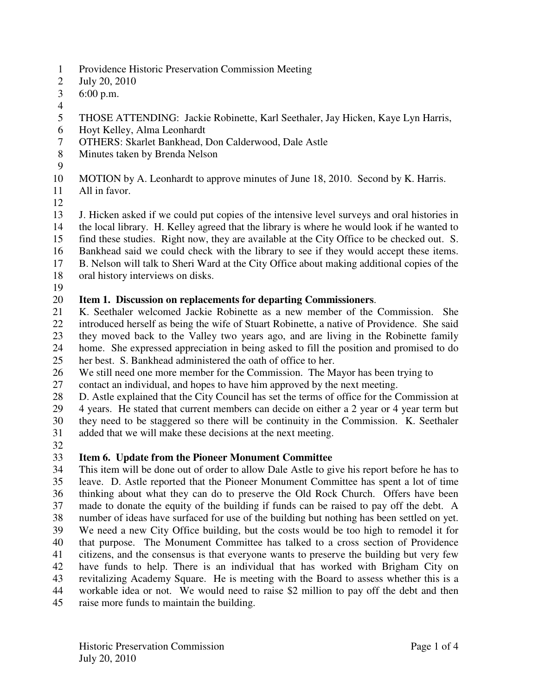- 1 Providence Historic Preservation Commission Meeting
- 2 July 20, 2010
- 3 6:00 p.m.
- 4
- 5 THOSE ATTENDING: Jackie Robinette, Karl Seethaler, Jay Hicken, Kaye Lyn Harris,
- 6 Hoyt Kelley, Alma Leonhardt
- 7 OTHERS: Skarlet Bankhead, Don Calderwood, Dale Astle
- 8 Minutes taken by Brenda Nelson
- 9

10 MOTION by A. Leonhardt to approve minutes of June 18, 2010. Second by K. Harris.

- 11 All in favor.
- 12

13 J. Hicken asked if we could put copies of the intensive level surveys and oral histories in 14 the local library. H. Kelley agreed that the library is where he would look if he wanted to 15 find these studies. Right now, they are available at the City Office to be checked out. S. 16 Bankhead said we could check with the library to see if they would accept these items. 17 B. Nelson will talk to Sheri Ward at the City Office about making additional copies of the 18 oral history interviews on disks.

19

## 20 **Item 1. Discussion on replacements for departing Commissioners**.

21 K. Seethaler welcomed Jackie Robinette as a new member of the Commission. She 22 introduced herself as being the wife of Stuart Robinette, a native of Providence. She said 23 they moved back to the Valley two years ago, and are living in the Robinette family 24 home. She expressed appreciation in being asked to fill the position and promised to do 25 her best. S. Bankhead administered the oath of office to her.

26 We still need one more member for the Commission. The Mayor has been trying to 27 contact an individual, and hopes to have him approved by the next meeting.

28 D. Astle explained that the City Council has set the terms of office for the Commission at

29 4 years. He stated that current members can decide on either a 2 year or 4 year term but

30 they need to be staggered so there will be continuity in the Commission. K. Seethaler 31 added that we will make these decisions at the next meeting.

32

# 33 **Item 6. Update from the Pioneer Monument Committee**

34 This item will be done out of order to allow Dale Astle to give his report before he has to 35 leave. D. Astle reported that the Pioneer Monument Committee has spent a lot of time 36 thinking about what they can do to preserve the Old Rock Church. Offers have been 37 made to donate the equity of the building if funds can be raised to pay off the debt. A 38 number of ideas have surfaced for use of the building but nothing has been settled on yet. 39 We need a new City Office building, but the costs would be too high to remodel it for 40 that purpose. The Monument Committee has talked to a cross section of Providence 41 citizens, and the consensus is that everyone wants to preserve the building but very few 42 have funds to help. There is an individual that has worked with Brigham City on 43 revitalizing Academy Square. He is meeting with the Board to assess whether this is a 44 workable idea or not. We would need to raise \$2 million to pay off the debt and then 45 raise more funds to maintain the building.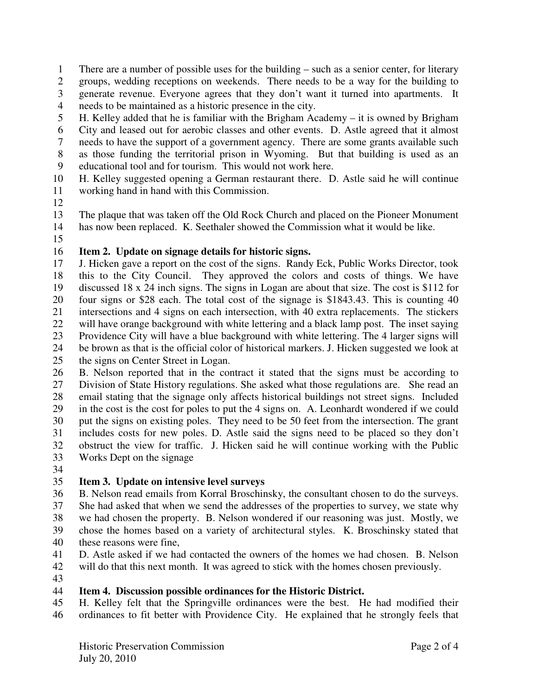1 There are a number of possible uses for the building – such as a senior center, for literary

- 2 groups, wedding receptions on weekends. There needs to be a way for the building to 3 generate revenue. Everyone agrees that they don't want it turned into apartments. It
- 4 needs to be maintained as a historic presence in the city.
- 5 H. Kelley added that he is familiar with the Brigham Academy it is owned by Brigham
- 6 City and leased out for aerobic classes and other events. D. Astle agreed that it almost
- 7 needs to have the support of a government agency. There are some grants available such
- 8 as those funding the territorial prison in Wyoming. But that building is used as an 9 educational tool and for tourism. This would not work here.
- 10 H. Kelley suggested opening a German restaurant there. D. Astle said he will continue 11 working hand in hand with this Commission.
- 12
- 13 The plaque that was taken off the Old Rock Church and placed on the Pioneer Monument
- 14 has now been replaced. K. Seethaler showed the Commission what it would be like.
- 15

## 16 **Item 2. Update on signage details for historic signs.**

17 J. Hicken gave a report on the cost of the signs. Randy Eck, Public Works Director, took 18 this to the City Council. They approved the colors and costs of things. We have 19 discussed 18 x 24 inch signs. The signs in Logan are about that size. The cost is \$112 for 20 four signs or \$28 each. The total cost of the signage is \$1843.43. This is counting 40 21 intersections and 4 signs on each intersection, with 40 extra replacements. The stickers 22 will have orange background with white lettering and a black lamp post. The inset saying 23 Providence City will have a blue background with white lettering. The 4 larger signs will 24 be brown as that is the official color of historical markers. J. Hicken suggested we look at 25 the signs on Center Street in Logan.

26 B. Nelson reported that in the contract it stated that the signs must be according to 27 Division of State History regulations. She asked what those regulations are. She read an 28 email stating that the signage only affects historical buildings not street signs. Included 29 in the cost is the cost for poles to put the 4 signs on. A. Leonhardt wondered if we could 30 put the signs on existing poles. They need to be 50 feet from the intersection. The grant 31 includes costs for new poles. D. Astle said the signs need to be placed so they don't 32 obstruct the view for traffic. J. Hicken said he will continue working with the Public 33 Works Dept on the signage

34

## 35 **Item 3. Update on intensive level surveys**

- 36 B. Nelson read emails from Korral Broschinsky, the consultant chosen to do the surveys. 37 She had asked that when we send the addresses of the properties to survey, we state why 38 we had chosen the property. B. Nelson wondered if our reasoning was just. Mostly, we 39 chose the homes based on a variety of architectural styles. K. Broschinsky stated that 40 these reasons were fine,
- 41 D. Astle asked if we had contacted the owners of the homes we had chosen. B. Nelson
- 42 will do that this next month. It was agreed to stick with the homes chosen previously.
- 43

## 44 **Item 4. Discussion possible ordinances for the Historic District.**

45 H. Kelley felt that the Springville ordinances were the best. He had modified their 46 ordinances to fit better with Providence City. He explained that he strongly feels that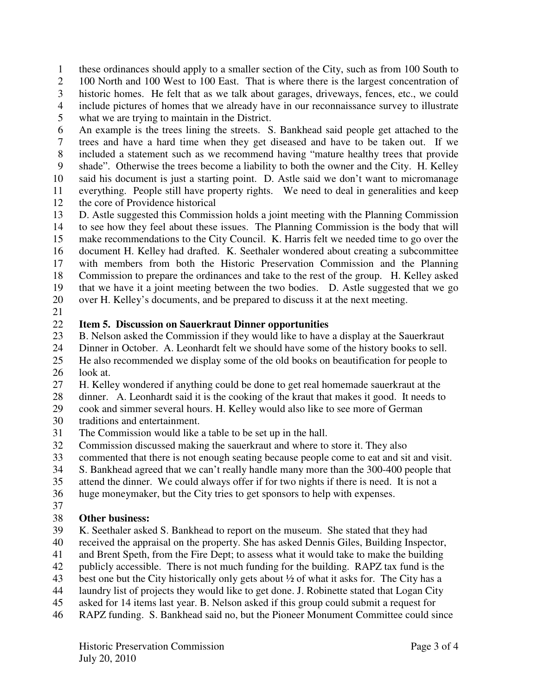1 these ordinances should apply to a smaller section of the City, such as from 100 South to

2 100 North and 100 West to 100 East. That is where there is the largest concentration of

- 3 historic homes. He felt that as we talk about garages, driveways, fences, etc., we could 4 include pictures of homes that we already have in our reconnaissance survey to illustrate
- 5 what we are trying to maintain in the District.

6 An example is the trees lining the streets. S. Bankhead said people get attached to the

- 7 trees and have a hard time when they get diseased and have to be taken out. If we
- 8 included a statement such as we recommend having "mature healthy trees that provide
- 9 shade". Otherwise the trees become a liability to both the owner and the City. H. Kelley
- 10 said his document is just a starting point. D. Astle said we don't want to micromanage
- 11 everything. People still have property rights. We need to deal in generalities and keep 12 the core of Providence historical
- 13 D. Astle suggested this Commission holds a joint meeting with the Planning Commission
- 14 to see how they feel about these issues. The Planning Commission is the body that will 15 make recommendations to the City Council. K. Harris felt we needed time to go over the 16 document H. Kelley had drafted. K. Seethaler wondered about creating a subcommittee
- 17 with members from both the Historic Preservation Commission and the Planning
- 18 Commission to prepare the ordinances and take to the rest of the group. H. Kelley asked
- 19 that we have it a joint meeting between the two bodies. D. Astle suggested that we go 20 over H. Kelley's documents, and be prepared to discuss it at the next meeting.
- 21

### 22 **Item 5. Discussion on Sauerkraut Dinner opportunities**

- 23 B. Nelson asked the Commission if they would like to have a display at the Sauerkraut
- 24 Dinner in October. A. Leonhardt felt we should have some of the history books to sell.
- 25 He also recommended we display some of the old books on beautification for people to 26 look at.
- 27 H. Kelley wondered if anything could be done to get real homemade sauerkraut at the
- 28 dinner. A. Leonhardt said it is the cooking of the kraut that makes it good. It needs to
- 29 cook and simmer several hours. H. Kelley would also like to see more of German
- 30 traditions and entertainment.
- 31 The Commission would like a table to be set up in the hall.
- 32 Commission discussed making the sauerkraut and where to store it. They also
- 33 commented that there is not enough seating because people come to eat and sit and visit.
- 34 S. Bankhead agreed that we can't really handle many more than the 300-400 people that
- 35 attend the dinner. We could always offer if for two nights if there is need. It is not a
- 36 huge moneymaker, but the City tries to get sponsors to help with expenses.
- 37

## 38 **Other business:**

- 39 K. Seethaler asked S. Bankhead to report on the museum. She stated that they had
- 40 received the appraisal on the property. She has asked Dennis Giles, Building Inspector,
- 41 and Brent Speth, from the Fire Dept; to assess what it would take to make the building
- 42 publicly accessible. There is not much funding for the building. RAPZ tax fund is the
- 43 best one but the City historically only gets about ½ of what it asks for. The City has a
- 44 laundry list of projects they would like to get done. J. Robinette stated that Logan City
- 45 asked for 14 items last year. B. Nelson asked if this group could submit a request for
- 46 RAPZ funding. S. Bankhead said no, but the Pioneer Monument Committee could since